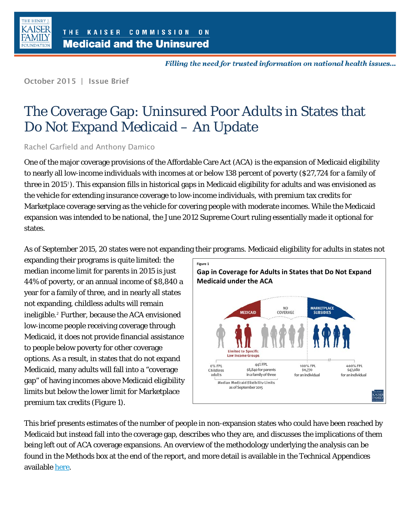

Filling the need for trusted information on national health issues...

October 2015 | Issue Brief

# The Coverage Gap: Uninsured Poor Adults in States that Do Not Expand Medicaid – An Update

Rachel Garfield and Anthony Damico

One of the major coverage provisions of the Affordable Care Act (ACA) is the expansion of Medicaid eligibility to nearly all low-income individuals with incomes at or below 138 percent of poverty (\$27,724 for a family of three in 20[1](#page-9-0)5'). This expansion fills in historical gaps in Medicaid eligibility for adults and was envisioned as the vehicle for extending insurance coverage to low-income individuals, with premium tax credits for Marketplace coverage serving as the vehicle for covering people with moderate incomes. While the Medicaid expansion was intended to be national, the June 2012 Supreme Court ruling essentially made it optional for states.

As of September 2015, 20 states were not expanding their programs. Medicaid eligibility for adults in states not

expanding their programs is quite limited: the median income limit for parents in 2015 is just 44% of poverty, or an annual income of \$8,840 a year for a family of three, and in nearly all states not expanding, childless adults will remain ineligible.[2](#page-9-1) Further, because the ACA envisioned low-income people receiving coverage through Medicaid, it does not provide financial assistance to people below poverty for other coverage options. As a result, in states that do not expand Medicaid, many adults will fall into a "coverage gap" of having incomes above Medicaid eligibility limits but below the lower limit for Marketplace premium tax credits (Figure 1).



This brief presents estimates of the number of people in non-expansion states who could have been reached by Medicaid but instead fall into the coverage gap, describes who they are, and discusses the implications of them being left out of ACA coverage expansions. An overview of the methodology underlying the analysis can be found in the Methods box at the end of the report, and more detail is available in the Technical Appendices available [here.](http://kff.org/report-section/new-estimates-of-eligibility-for-aca-coverage-among-the-uninsured-appendices/)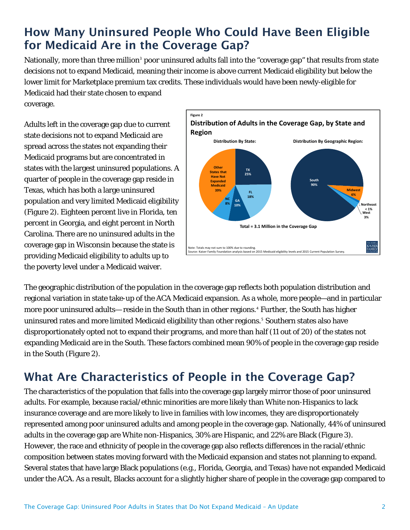### How Many Uninsured People Who Could Have Been Eligible for Medicaid Are in the Coverage Gap?

Nationally, more than three million<sup>[3](#page-10-0)</sup> poor uninsured adults fall into the "coverage gap" that results from state decisions not to expand Medicaid, meaning their income is above current Medicaid eligibility but below the lower limit for Marketplace premium tax credits. These individuals would have been newly-eligible for Medicaid had their state chosen to expand

coverage.

Adults left in the coverage gap due to current state decisions not to expand Medicaid are spread across the states not expanding their Medicaid programs but are concentrated in states with the largest uninsured populations. A quarter of people in the coverage gap reside in Texas, which has both a large uninsured population and very limited Medicaid eligibility (Figure 2). Eighteen percent live in Florida, ten percent in Georgia, and eight percent in North Carolina. There are no uninsured adults in the coverage gap in Wisconsin because the state is providing Medicaid eligibility to adults up to the poverty level under a Medicaid waiver.



The geographic distribution of the population in the coverage gap reflects both population distribution and regional variation in state take-up of the ACA Medicaid expansion. As a whole, more people—and in particular more poor uninsured adults— reside in the South than in other regions.[4](#page-10-1) Further, the South has higher uninsured rates and more limited Medicaid eligibility than other regions.<sup>[5](#page-10-2)</sup> Southern states also have disproportionately opted not to expand their programs, and more than half (11 out of 20) of the states not expanding Medicaid are in the South. These factors combined mean 90% of people in the coverage gap reside in the South (Figure 2).

## What Are Characteristics of People in the Coverage Gap?

The characteristics of the population that falls into the coverage gap largely mirror those of poor uninsured adults. For example, because racial/ethnic minorities are more likely than White non-Hispanics to lack insurance coverage and are more likely to live in families with low incomes, they are disproportionately represented among poor uninsured adults and among people in the coverage gap. Nationally, 44% of uninsured adults in the coverage gap are White non-Hispanics, 30% are Hispanic, and 22% are Black (Figure 3). However, the race and ethnicity of people in the coverage gap also reflects differences in the racial/ethnic composition between states moving forward with the Medicaid expansion and states not planning to expand. Several states that have large Black populations (e.g., Florida, Georgia, and Texas) have not expanded Medicaid under the ACA. As a result, Blacks account for a slightly higher share of people in the coverage gap compared to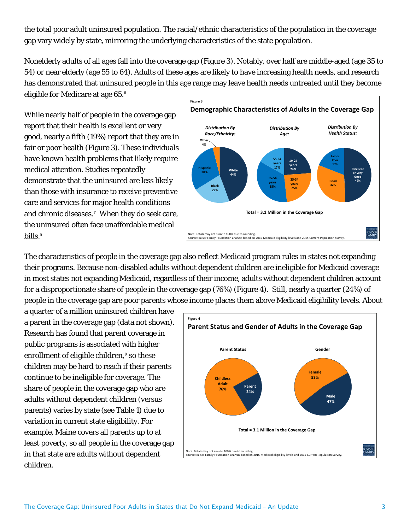the total poor adult uninsured population. The racial/ethnic characteristics of the population in the coverage gap vary widely by state, mirroring the underlying characteristics of the state population.

Nonelderly adults of all ages fall into the coverage gap (Figure 3). Notably, over half are middle-aged (age 35 to 54) or near elderly (age 55 to 64). Adults of these ages are likely to have increasing health needs, and research has demonstrated that uninsured people in this age range may leave health needs untreated until they become eligible for Medicare at age 65.[6](#page-10-3)

While nearly half of people in the coverage gap report that their health is excellent or very good, nearly a fifth (19%) report that they are in fair or poor health (Figure 3). These individuals have known health problems that likely require medical attention. Studies repeatedly demonstrate that the uninsured are less likely than those with insurance to receive preventive care and services for major health conditions and chronic diseases.[7](#page-10-4) When they do seek care, the uninsured often face unaffordable medical bills.<sup>[8](#page-10-5)</sup>



The characteristics of people in the coverage gap also reflect Medicaid program rules in states not expanding their programs. Because non-disabled adults without dependent children are ineligible for Medicaid coverage in most states not expanding Medicaid, regardless of their income, adults without dependent children account for a disproportionate share of people in the coverage gap (76%) (Figure 4). Still, nearly a quarter (24%) of people in the coverage gap are poor parents whose income places them above Medicaid eligibility levels. About

a quarter of a million uninsured children have a parent in the coverage gap (data not shown). Research has found that parent coverage in public programs is associated with higher enrollment of eligible children,<sup>[9](#page-10-6)</sup> so these children may be hard to reach if their parents continue to be ineligible for coverage. The share of people in the coverage gap who are adults without dependent children (versus parents) varies by state (see Table 1) due to variation in current state eligibility. For example, Maine covers all parents up to at least poverty, so all people in the coverage gap in that state are adults without dependent children.

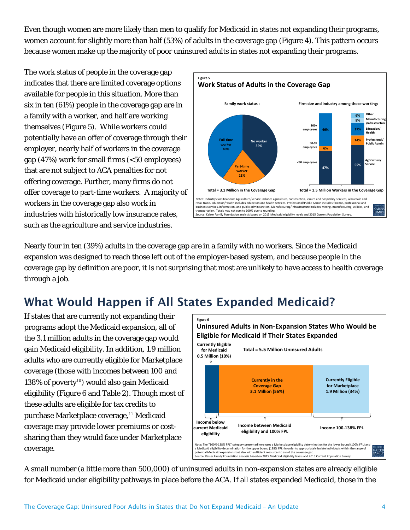Even though women are more likely than men to qualify for Medicaid in states not expanding their programs, women account for slightly more than half (53%) of adults in the coverage gap (Figure 4). This pattern occurs because women make up the majority of poor uninsured adults in states not expanding their programs.

The work status of people in the coverage gap indicates that there are limited coverage options available for people in this situation. More than six in ten (61%) people in the coverage gap are in a family with a worker, and half are working themselves (Figure 5). While workers could potentially have an offer of coverage through their employer, nearly half of workers in the coverage gap (47%) work for small firms (<50 employees) that are not subject to ACA penalties for not offering coverage. Further, many firms do not offer coverage to part-time workers. A majority of workers in the coverage gap also work in industries with historically low insurance rates, such as the agriculture and service industries.



Nearly four in ten (39%) adults in the coverage gap are in a family with no workers. Since the Medicaid expansion was designed to reach those left out of the employer-based system, and because people in the coverage gap by definition are poor, it is not surprising that most are unlikely to have access to health coverage through a job.

# What Would Happen if All States Expanded Medicaid?

If states that are currently not expanding their programs adopt the Medicaid expansion, all of the 3.1 million adults in the coverage gap would gain Medicaid eligibility. In addition, 1.9 million adults who are currently eligible for Marketplace coverage (those with incomes between 100 and 138% of poverty<sup>[10](#page-10-7)</sup>) would also gain Medicaid eligibility (Figure 6 and Table 2). Though most of these adults are eligible for tax credits to purchase Marketplace coverage, [11](#page-10-8) Medicaid coverage may provide lower premiums or costsharing than they would face under Marketplace coverage.



A small number (a little more than 500,000) of uninsured adults in non-expansion states are already eligible for Medicaid under eligibility pathways in place before the ACA. If all states expanded Medicaid, those in the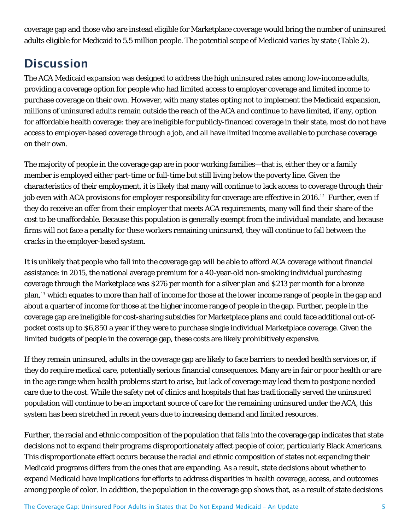coverage gap and those who are instead eligible for Marketplace coverage would bring the number of uninsured adults eligible for Medicaid to 5.5 million people. The potential scope of Medicaid varies by state (Table 2).

### **Discussion**

The ACA Medicaid expansion was designed to address the high uninsured rates among low-income adults, providing a coverage option for people who had limited access to employer coverage and limited income to purchase coverage on their own. However, with many states opting not to implement the Medicaid expansion, millions of uninsured adults remain outside the reach of the ACA and continue to have limited, if any, option for affordable health coverage: they are ineligible for publicly-financed coverage in their state, most do not have access to employer-based coverage through a job, and all have limited income available to purchase coverage on their own.

The majority of people in the coverage gap are in poor working families—that is, either they or a family member is employed either part-time or full-time but still living below the poverty line. Given the characteristics of their employment, it is likely that many will continue to lack access to coverage through their job even with ACA provisions for employer responsibility for coverage are effective in 2016. [12](#page-10-9) Further, even if they do receive an offer from their employer that meets ACA requirements, many will find their share of the cost to be unaffordable. Because this population is generally exempt from the individual mandate, and because firms will not face a penalty for these workers remaining uninsured, they will continue to fall between the cracks in the employer-based system.

It is unlikely that people who fall into the coverage gap will be able to afford ACA coverage without financial assistance: in 2015, the national average premium for a 40-year-old non-smoking individual purchasing coverage through the Marketplace was \$276 per month for a silver plan and \$213 per month for a bronze plan, [13](#page-10-10) which equates to more than half of income for those at the lower income range of people in the gap and about a quarter of income for those at the higher income range of people in the gap. Further, people in the coverage gap are ineligible for cost-sharing subsidies for Marketplace plans and could face additional out-ofpocket costs up to \$6,850 a year if they were to purchase single individual Marketplace coverage. Given the limited budgets of people in the coverage gap, these costs are likely prohibitively expensive.

If they remain uninsured, adults in the coverage gap are likely to face barriers to needed health services or, if they do require medical care, potentially serious financial consequences. Many are in fair or poor health or are in the age range when health problems start to arise, but lack of coverage may lead them to postpone needed care due to the cost. While the safety net of clinics and hospitals that has traditionally served the uninsured population will continue to be an important source of care for the remaining uninsured under the ACA, this system has been stretched in recent years due to increasing demand and limited resources.

Further, the racial and ethnic composition of the population that falls into the coverage gap indicates that state decisions not to expand their programs disproportionately affect people of color, particularly Black Americans. This disproportionate effect occurs because the racial and ethnic composition of states not expanding their Medicaid programs differs from the ones that are expanding. As a result, state decisions about whether to expand Medicaid have implications for efforts to address disparities in health coverage, access, and outcomes among people of color. In addition, the population in the coverage gap shows that, as a result of state decisions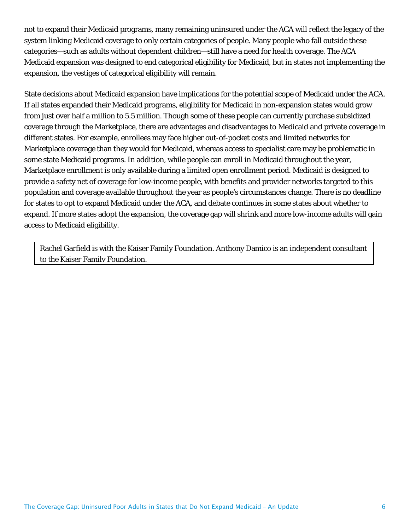not to expand their Medicaid programs, many remaining uninsured under the ACA will reflect the legacy of the system linking Medicaid coverage to only certain categories of people. Many people who fall outside these categories—such as adults without dependent children—still have a need for health coverage. The ACA Medicaid expansion was designed to end categorical eligibility for Medicaid, but in states not implementing the expansion, the vestiges of categorical eligibility will remain.

State decisions about Medicaid expansion have implications for the potential scope of Medicaid under the ACA. If all states expanded their Medicaid programs, eligibility for Medicaid in non-expansion states would grow from just over half a million to 5.5 million. Though some of these people can currently purchase subsidized coverage through the Marketplace, there are advantages and disadvantages to Medicaid and private coverage in different states. For example, enrollees may face higher out-of-pocket costs and limited networks for Marketplace coverage than they would for Medicaid, whereas access to specialist care may be problematic in some state Medicaid programs. In addition, while people can enroll in Medicaid throughout the year, Marketplace enrollment is only available during a limited open enrollment period. Medicaid is designed to provide a safety net of coverage for low-income people, with benefits and provider networks targeted to this population and coverage available throughout the year as people's circumstances change. There is no deadline for states to opt to expand Medicaid under the ACA, and debate continues in some states about whether to expand. If more states adopt the expansion, the coverage gap will shrink and more low-income adults will gain access to Medicaid eligibility.

Rachel Garfield is with the Kaiser Family Foundation. Anthony Damico is an independent consultant to the Kaiser Family Foundation.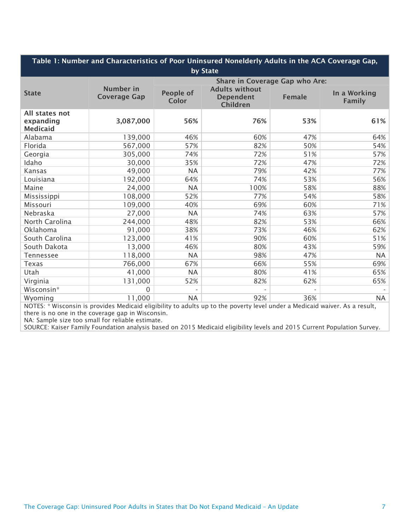| Table 1: Number and Characteristics of Poor Uninsured Nonelderly Adults in the ACA Coverage Gap, |                                       |                                                       |               |                                                                                                                            |  |  |  |
|--------------------------------------------------------------------------------------------------|---------------------------------------|-------------------------------------------------------|---------------|----------------------------------------------------------------------------------------------------------------------------|--|--|--|
| by State                                                                                         |                                       |                                                       |               |                                                                                                                            |  |  |  |
|                                                                                                  | <b>Share in Coverage Gap who Are:</b> |                                                       |               |                                                                                                                            |  |  |  |
| <b>Number</b> in<br><b>Coverage Gap</b>                                                          | <b>People of</b><br><b>Color</b>      | <b>Adults without</b><br><b>Dependent</b><br>Children | <b>Female</b> | In a Working<br><b>Family</b>                                                                                              |  |  |  |
| 3,087,000                                                                                        | 56%                                   | 76%                                                   | 53%           | 61%                                                                                                                        |  |  |  |
| 139,000                                                                                          | 46%                                   | 60%                                                   | 47%           | 64%                                                                                                                        |  |  |  |
| 567,000                                                                                          | 57%                                   | 82%                                                   | 50%           | 54%                                                                                                                        |  |  |  |
| 305,000                                                                                          | 74%                                   | 72%                                                   | 51%           | 57%                                                                                                                        |  |  |  |
| 30,000                                                                                           | 35%                                   | 72%                                                   | 47%           | 72%                                                                                                                        |  |  |  |
| 49,000                                                                                           | <b>NA</b>                             | 79%                                                   | 42%           | 77%                                                                                                                        |  |  |  |
| 192,000                                                                                          | 64%                                   | 74%                                                   | 53%           | 56%                                                                                                                        |  |  |  |
| 24,000                                                                                           | <b>NA</b>                             | 100%                                                  | 58%           | 88%                                                                                                                        |  |  |  |
| 108,000                                                                                          | 52%                                   | 77%                                                   | 54%           | 58%                                                                                                                        |  |  |  |
| 109,000                                                                                          | 40%                                   | 69%                                                   | 60%           | 71%                                                                                                                        |  |  |  |
| 27,000                                                                                           | <b>NA</b>                             | 74%                                                   | 63%           | 57%                                                                                                                        |  |  |  |
| 244,000                                                                                          | 48%                                   | 82%                                                   | 53%           | 66%                                                                                                                        |  |  |  |
| 91,000                                                                                           | 38%                                   | 73%                                                   | 46%           | 62%                                                                                                                        |  |  |  |
| 123,000                                                                                          | 41%                                   | 90%                                                   | 60%           | 51%                                                                                                                        |  |  |  |
| 13,000                                                                                           | 46%                                   | 80%                                                   | 43%           | 59%                                                                                                                        |  |  |  |
| 118,000                                                                                          | <b>NA</b>                             | 98%                                                   | 47%           | NA                                                                                                                         |  |  |  |
| 766,000                                                                                          | 67%                                   | 66%                                                   | 55%           | 69%                                                                                                                        |  |  |  |
| 41,000                                                                                           | <b>NA</b>                             | 80%                                                   | 41%           | 65%                                                                                                                        |  |  |  |
| 131,000                                                                                          | 52%                                   | 82%                                                   | 62%           | 65%                                                                                                                        |  |  |  |
| $\mathbf 0$                                                                                      |                                       |                                                       |               |                                                                                                                            |  |  |  |
| 11,000                                                                                           | <b>NA</b>                             | 92%                                                   | 36%           | <b>NA</b>                                                                                                                  |  |  |  |
|                                                                                                  |                                       |                                                       |               | NOTES: * Wisconsin is provides Medicaid eligibility to adults up to the poverty lovel under a Medicaid waiver. As a result |  |  |  |

NOTES: \* Wisconsin is provides Medicaid eligibility to adults up to the poverty level under a Medicaid waiver. As a result, there is no one in the coverage gap in Wisconsin.

NA: Sample size too small for reliable estimate.

SOURCE: Kaiser Family Foundation analysis based on 2015 Medicaid eligibility levels and 2015 Current Population Survey.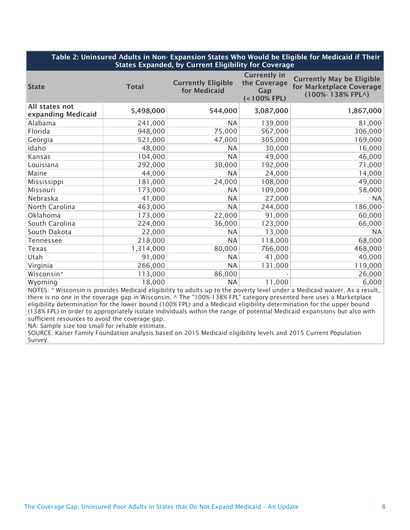#### Table 2: Uninsured Adults in Non- Expansion States Who Would be Eligible for Medicaid if Their States Expanded, by Current Eligibility for Coverage

| <b>State</b>                         | <b>Total</b> | <b>Currently Eligible</b><br>for Medicaid | <b>Currently in</b><br>the Coverage<br>Gap<br>$(< 100\%$ FPL) | <b>Currently May be Eligible</b><br>for Marketplace Coverage<br>(100%-138% FPL^) |
|--------------------------------------|--------------|-------------------------------------------|---------------------------------------------------------------|----------------------------------------------------------------------------------|
| All states not<br>expanding Medicaid | 5,498,000    | 544,000                                   | 3,087,000                                                     | 1,867,000                                                                        |
| Alabama                              | 241,000      | <b>NA</b>                                 | 139,000                                                       | 81,000                                                                           |
| Florida                              | 948,000      | 75,000                                    | 567,000                                                       | 306,000                                                                          |
| Georgia                              | 521,000      | 47,000                                    | 305,000                                                       | 169,000                                                                          |
| Idaho                                | 48,000       | <b>NA</b>                                 | 30,000                                                        | 16,000                                                                           |
| Kansas                               | 104,000      | <b>NA</b>                                 | 49,000                                                        | 46,000                                                                           |
| Louisiana                            | 292,000      | 30,000                                    | 192,000                                                       | 71,000                                                                           |
| Maine                                | 44,000       | <b>NA</b>                                 | 24,000                                                        | 14,000                                                                           |
| Mississippi                          | 181,000      | 24,000                                    | 108,000                                                       | 49,000                                                                           |
| Missouri                             | 173,000      | <b>NA</b>                                 | 109,000                                                       | 58,000                                                                           |
| Nebraska                             | 41,000       | <b>NA</b>                                 | 27,000                                                        | <b>NA</b>                                                                        |
| North Carolina                       | 463,000      | <b>NA</b>                                 | 244,000                                                       | 186,000                                                                          |
| Oklahoma                             | 173,000      | 22,000                                    | 91,000                                                        | 60,000                                                                           |
| South Carolina                       | 224,000      | 36,000                                    | 123,000                                                       | 66,000                                                                           |
| South Dakota                         | 22,000       | <b>NA</b>                                 | 13,000                                                        | <b>NA</b>                                                                        |
| <b>Tennessee</b>                     | 218,000      | <b>NA</b>                                 | 118,000                                                       | 68,000                                                                           |
| Texas                                | 1,314,000    | 80,000                                    | 766,000                                                       | 468,000                                                                          |
| Utah                                 | 91,000       | <b>NA</b>                                 | 41,000                                                        | 40,000                                                                           |
| Virginia                             | 266,000      | <b>NA</b>                                 | 131,000                                                       | 119,000                                                                          |
| Wisconsin*                           | 113,000      | 86,000                                    |                                                               | 26,000                                                                           |
| Wyoming                              | 18,000       | <b>NA</b>                                 | 11,000                                                        | 6,000                                                                            |

NOTES: \* Wisconsin is provides Medicaid eligibility to adults up to the poverty level under a Medicaid waiver. As a result, there is no one in the coverage gap in Wisconsin. ^ The "100%-138% FPL" category presented here uses a Marketplace eligibility determination for the lower bound (100% FPL) and a Medicaid eligibility determination for the upper bound (138% FPL) in order to appropriately isolate individuals within the range of potential Medicaid expansions but also with sufficient resources to avoid the coverage gap.

NA: Sample size too small for reliable estimate.

SOURCE: Kaiser Family Foundation analysis based on 2015 Medicaid eligibility levels and 2015 Current Population Survey.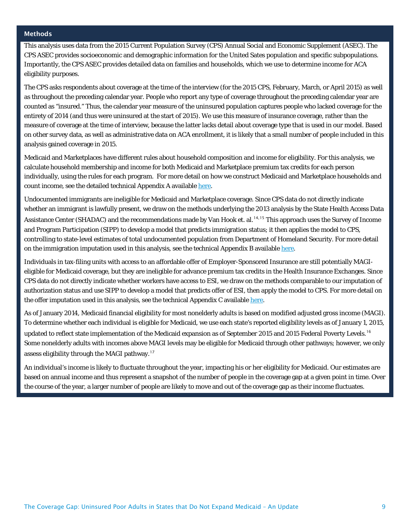#### Methods

This analysis uses data from the 2015 Current Population Survey (CPS) Annual Social and Economic Supplement (ASEC). The CPS ASEC provides socioeconomic and demographic information for the United Sates population and specific subpopulations. Importantly, the CPS ASEC provides detailed data on families and households, which we use to determine income for ACA eligibility purposes.

The CPS asks respondents about coverage at the time of the interview (for the 2015 CPS, February, March, or April 2015) as well as throughout the preceding calendar year. People who report any type of coverage throughout the preceding calendar year are counted as "insured." Thus, the calendar year measure of the uninsured population captures people who lacked coverage for the entirety of 2014 (and thus were uninsured at the start of 2015). We use this measure of insurance coverage, rather than the measure of coverage at the time of interview, because the latter lacks detail about coverage type that is used in our model. Based on other survey data, as well as administrative data on ACA enrollment, it is likely that a small number of people included in this analysis gained coverage in 2015.

Medicaid and Marketplaces have different rules about household composition and income for eligibility. For this analysis, we calculate household membership and income for both Medicaid and Marketplace premium tax credits for each person individually, using the rules for each program. For more detail on how we construct Medicaid and Marketplace households and count income, see the detailed technical Appendix A available [here.](http://kff.org/report-section/new-estimates-of-eligibility-for-aca-coverage-among-the-uninsured-appendices/)

Undocumented immigrants are ineligible for Medicaid and Marketplace coverage. Since CPS data do not directly indicate whether an immigrant is lawfully present, we draw on the methods underlying the 2013 analysis by the State Health Access Data Assistance Center (SHADAC) and the recommendations made by Van Hook et. al. [14,](#page-10-11)[15](#page-10-12) This approach uses the Survey of Income and Program Participation (SIPP) to develop a model that predicts immigration status; it then applies the model to CPS, controlling to state-level estimates of total undocumented population from Department of Homeland Security. For more detail on the immigration imputation used in this analysis, see the technical Appendix B available [here.](http://kff.org/report-section/new-estimates-of-eligibility-for-aca-coverage-among-the-uninsured-appendices/)

Individuals in tax-filing units with access to an affordable offer of Employer-Sponsored Insurance are still potentially MAGIeligible for Medicaid coverage, but they are ineligible for advance premium tax credits in the Health Insurance Exchanges. Since CPS data do not directly indicate whether workers have access to ESI, we draw on the methods comparable to our imputation of authorization status and use SIPP to develop a model that predicts offer of ESI, then apply the model to CPS. For more detail on the offer imputation used in this analysis, see the technical Appendix C available [here.](http://kff.org/report-section/new-estimates-of-eligibility-for-aca-coverage-among-the-uninsured-appendices/)

As of January 2014, Medicaid financial eligibility for most nonelderly adults is based on modified adjusted gross income (MAGI). To determine whether each individual is eligible for Medicaid, we use each state's reported eligibility levels as of January 1, 2015, updated to reflect state implementation of the Medicaid expansion as of September 2015 and 2015 Federal Poverty Levels. [16](#page-10-13) Some nonelderly adults with incomes above MAGI levels may be eligible for Medicaid through other pathways; however, we only assess eligibility through the MAGI pathway.<sup>[17](#page-10-14)</sup>

An individual's income is likely to fluctuate throughout the year, impacting his or her eligibility for Medicaid. Our estimates are based on annual income and thus represent a snapshot of the number of people in the coverage gap at a given point in time. Over the course of the year, a larger number of people are likely to move and out of the coverage gap as their income fluctuates.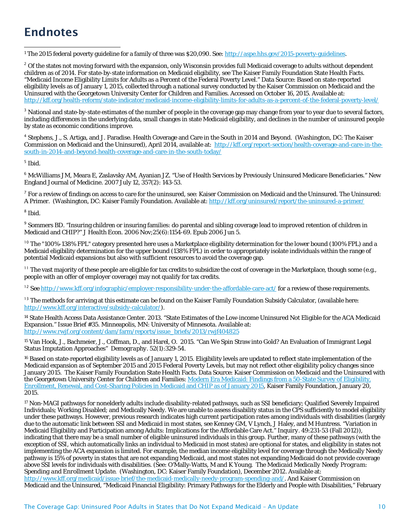## Endnotes

<span id="page-9-0"></span><sup>1</sup> The 2015 federal poverty guideline for a family of three was \$20,090. See: http://aspe.hhs.gov/2015-poverty-guidelines.

<span id="page-9-1"></span><sup>2</sup> Of the states not moving forward with the expansion, only Wisconsin provides full Medicaid coverage to adults without dependent children as of 2014. For state-by-state information on Medicaid eligibility, see The Kaiser Family Foundation State Health Facts. "Medicaid Income Eligibility Limits for Adults as a Percent of the Federal Poverty Level." Data Source: Based on state-reported eligibility levels as of January 1, 2015, collected through a national survey conducted by the Kaiser Commission on Medicaid and the Uninsured with the Georgetown University Center for Children and Families. Accessed on October 16, 2015. Available at: <http://kff.org/health-reform/state-indicator/medicaid-income-eligibility-limits-for-adults-as-a-percent-of-the-federal-poverty-level/>

 $^3$  National and state-by-state estimates of the number of people in the coverage gap may change from year to year due to several factors, including differences in the underlying data, small changes in state Medicaid eligibility, and declines in the number of uninsured people by state as economic conditions improve.

<sup>4</sup> Stephens, J., S. Artiga, and J. Paradise. Health Coverage and Care in the South in 2014 and Beyond. (Washington, DC: The Kaiser Commission on Medicaid and the Uninsured), April 2014, available at: [http://kff.org/report-section/health-coverage-and-care-in-the](http://kff.org/report-section/health-coverage-and-care-in-the-south-in-2014-and-beyond-health-coverage-and-care-in-the-south-today/)[south-in-2014-and-beyond-health-coverage-and-care-in-the-south-today/](http://kff.org/report-section/health-coverage-and-care-in-the-south-in-2014-and-beyond-health-coverage-and-care-in-the-south-today/)

 $<sup>5</sup>$  Ibid.</sup>

<sup>6</sup> McWilliams JM, Meara E, Zaslavsky AM, Ayanian JZ. "Use of Health Services by Previously Uninsured Medicare Beneficiaries." New England Journal of Medicine. 2007 July 12, 357(2): 143-53.

 $^7$  For a review of findings on access to care for the uninsured, see: Kaiser Commission on Medicaid and the Uninsured. The Uninsured: A Primer. (Washington, DC: Kaiser Family Foundation. Available at[: http://kff.org/uninsured/report/the-uninsured-a-primer/](http://kff.org/uninsured/report/the-uninsured-a-primer/)

<sup>8</sup> Ibid.

<sup>9</sup> Sommers BD. "Insuring children or insuring families: do parental and sibling coverage lead to improved retention of children in Medicaid and CHIP?" *J Health Econ*. 2006 Nov;25(6):1154-69. Epub 2006 Jun 5.

<sup>10</sup> The "100%-138% FPL" category presented here uses a Marketplace eligibility determination for the lower bound (100% FPL) and a Medicaid eligibility determination for the upper bound (138% FPL) in order to appropriately isolate individuals within the range of potential Medicaid expansions but also with sufficient resources to avoid the coverage gap.

<sup>11</sup> The vast majority of these people are eligible for tax credits to subsidize the cost of coverage in the Marketplace, though some (e.g., people with an offer of employer coverage) may not qualify for tax credits.

<sup>12</sup> See<http://www.kff.org/infographic/employer-responsibility-under-the-affordable-care-act/> for a review of these requirements.

 $13$  The methods for arriving at this estimate can be found on the Kaiser Family Foundation Subsidy Calculator, (available here: [http://www.kff.org/interactive/subsidy-calculator/\)](http://www.kff.org/interactive/subsidy-calculator/).

<sup>14</sup> State Health Access Data Assistance Center. 2013. "State Estimates of the Low-income Uninsured Not Eligible for the ACA Medicaid Expansion." Issue Brief #35. Minneapolis, MN: University of Minnesota. Available at: [http://www.rwjf.org/content/dam/farm/reports/issue\\_briefs/2013/rwjf404825](http://www.rwjf.org/content/dam/farm/reports/issue_briefs/2013/rwjf404825)

<sup>15</sup> Van Hook, J., Bachmeier, J., Coffman, D., and Harel, O. 2015. "Can We Spin Straw into Gold? An Evaluation of Immigrant Legal Status Imputation Approaches" *Demography*. 52(1):329-54.

<sup>16</sup> Based on state-reported eligibility levels as of January 1, 2015. Eligibility levels are updated to reflect state implementation of the Medicaid expansion as of September 2015 and 2015 Federal Poverty Levels, but may not reflect other eligibility policy changes since January 2015. The Kaiser Family Foundation State Health Facts. Data Source: Kaiser Commission on Medicaid and the Uninsured with the Georgetown University Center for Children and Families[: Modern Era Medicaid: Findings from a 50-State Survey of Eligibility,](http://kff.org/medicaid/report/modern-era-medicaid-findings-from-a-50-state-survey-of-eligibility-enrollment-renewal-and-cost-sharing-policies-in-medicaid-and-chip-as-of-january-2015)  [Enrollment, Renewal, and Cost-Sharing Policies in Medicaid and CHIP as of January 2015,](http://kff.org/medicaid/report/modern-era-medicaid-findings-from-a-50-state-survey-of-eligibility-enrollment-renewal-and-cost-sharing-policies-in-medicaid-and-chip-as-of-january-2015) Kaiser Family Foundation, January 20, 2015.

<sup>17</sup> Non-MAGI pathways for nonelderly adults include disability-related pathways, such as SSI beneficiary; Qualified Severely Impaired Individuals; Working Disabled; and Medically Needy. We are unable to assess disability status in the CPS sufficiently to model eligibility under these pathways. However, previous research indicates high current participation rates among individuals with disabilities (largely due to the automatic link between SSI and Medicaid in most states, see Kenney GM, V Lynch, J Haley, and M Huntress. "Variation in Medicaid Eligibility and Participation among Adults: Implications for the Affordable Care Act." *Inquiry*. 49:231-53 (Fall 2012)), indicating that there may be a small number of eligible uninsured individuals in this group. Further, many of these pathways (with the exception of SSI, which automatically links an individual to Medicaid in most states) are optional for states, and eligibility in states not implementing the ACA expansion is limited. For example, the median income eligibility level for coverage through the Medically Needy pathway is 15% of poverty in states that are not expanding Medicaid, and most states not expanding Medicaid do not provide coverage above SSI levels for individuals with disabilities. (See: O'Mally-Watts, M and K Young. *The Medicaid Medically Needy Program: Spending and Enrollment Update*. (Washington, DC: Kaiser Family Foundation), December 2012. Available at: [http://www.kff.org/medicaid/issue-brief/the-medicaid-medically-needy-program-spending-and/.](http://www.kff.org/medicaid/issue-brief/the-medicaid-medically-needy-program-spending-and/) And Kaiser Commission on Medicaid and the Uninsured, "Medicaid Financial Eligibility: Primary Pathways for the Elderly and People with Disabilities," February